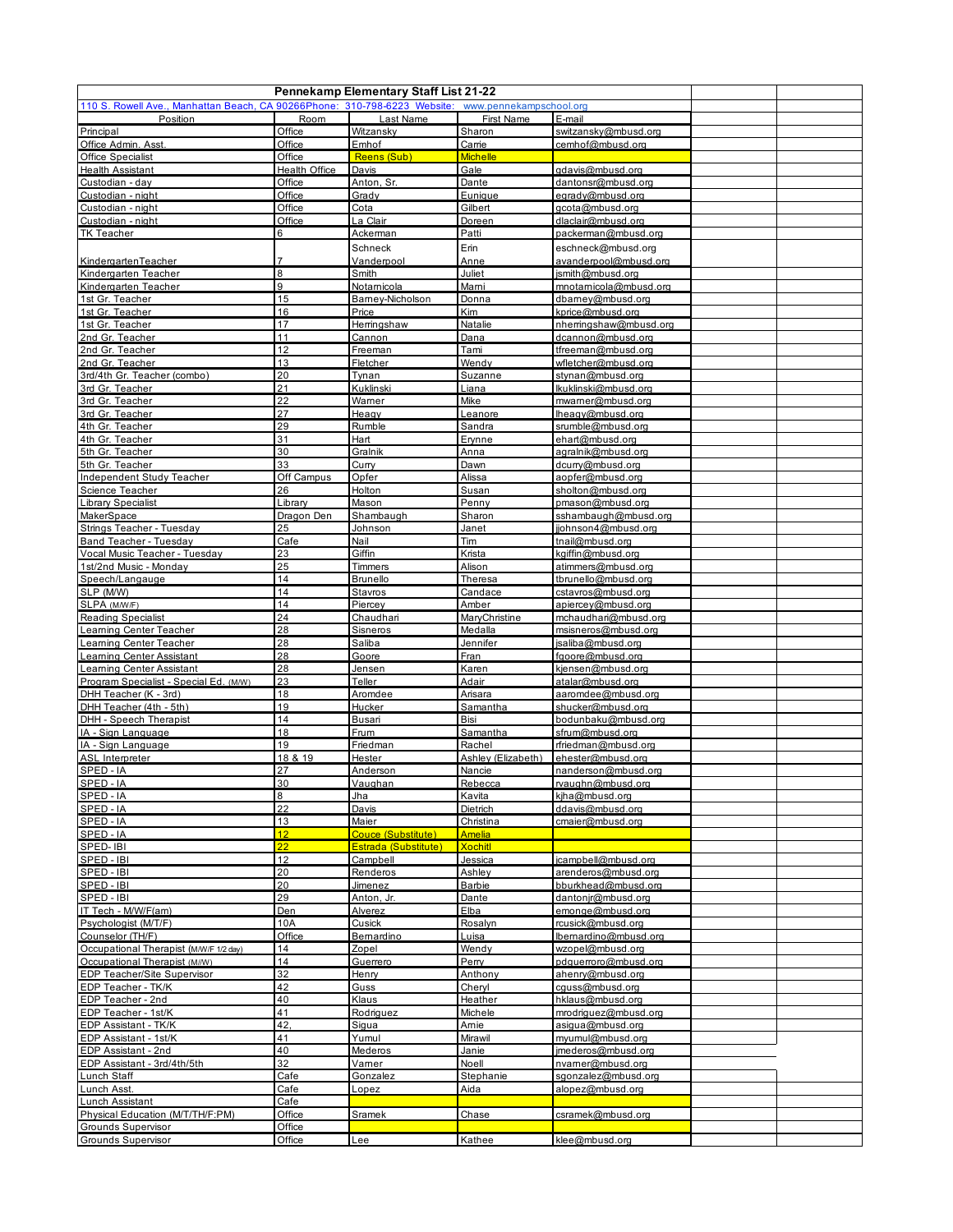| Pennekamp Elementary Staff List 21-22                                     |                       |                           |                        |                                            |  |  |  |  |  |  |
|---------------------------------------------------------------------------|-----------------------|---------------------------|------------------------|--------------------------------------------|--|--|--|--|--|--|
| 110 S. Rowell Ave., Manhattan Beach, CA 90266Phone: 310-798-6223 Website: |                       |                           |                        |                                            |  |  |  |  |  |  |
| Position                                                                  | <b>Room</b>           | Last Name                 | <b>First Name</b>      | E-mail                                     |  |  |  |  |  |  |
| Principal                                                                 | Office                | Witzansky                 | Sharon                 | switzansky@mbusd.org                       |  |  |  |  |  |  |
| Office Admin. Asst.                                                       | Office                | Emhof                     | Carrie                 | cemhof@mbusd.org                           |  |  |  |  |  |  |
| <b>Office Specialist</b>                                                  | Office                | Reens (Sub)               | <b>Michelle</b>        |                                            |  |  |  |  |  |  |
| <b>Health Assistant</b>                                                   | Health Office         | Davis                     | Gale                   | adavis@mbusd.org                           |  |  |  |  |  |  |
| Custodian - day                                                           | Office                | Anton, Sr.                | Dante                  | dantonsr@mbusd.org                         |  |  |  |  |  |  |
| Custodian - night                                                         | Office                | Grady                     | Eunique                | egrady@mbusd.org                           |  |  |  |  |  |  |
| Custodian - night                                                         | Office                | Cota                      | Gilbert                | gcota@mbusd.org                            |  |  |  |  |  |  |
| Custodian - night                                                         | Office<br>6           | La Clair                  | Doreen                 | dlaclair@mbusd.org                         |  |  |  |  |  |  |
| <b>TK Teacher</b>                                                         |                       | Ackerman                  | Patti                  | packerman@mbusd.org                        |  |  |  |  |  |  |
|                                                                           |                       | Schneck                   | Erin                   | eschneck@mbusd.org                         |  |  |  |  |  |  |
| KindergartenTeacher                                                       |                       | Vanderpool                | Anne                   | avanderpool@mbusd.org                      |  |  |  |  |  |  |
| Kindergarten Teacher                                                      | 8                     | Smith                     | Juliet                 | ismith@mbusd.org                           |  |  |  |  |  |  |
| Kindergarten Teacher                                                      | 9                     | Notamicola                | Mami                   | mnotarnicola@mbusd.org                     |  |  |  |  |  |  |
| 1st Gr. Teacher                                                           | 15<br>16              | Barney-Nicholson<br>Price | Donna<br>Kim           | dbarney@mbusd.org                          |  |  |  |  |  |  |
| 1st Gr. Teacher<br>1st Gr. Teacher                                        | 17                    | Herringshaw               | Natalie                | kprice@mbusd.org<br>nherringshaw@mbusd.org |  |  |  |  |  |  |
| 2nd Gr. Teacher                                                           | 11                    | Cannon                    | Dana                   | dcannon@mbusd.org                          |  |  |  |  |  |  |
| 2nd Gr. Teacher                                                           | 12                    | Freeman                   | Tami                   | tfreeman@mbusd.org                         |  |  |  |  |  |  |
| 2nd Gr. Teacher                                                           | 13                    | Fletcher                  | Wendy                  | wfletcher@mbusd.org                        |  |  |  |  |  |  |
| 3rd/4th Gr. Teacher (combo)                                               | 20                    | Tynan                     | Suzanne                | stynan@mbusd.org                           |  |  |  |  |  |  |
| 3rd Gr. Teacher                                                           | 21                    | Kuklinski                 | Liana                  | lkuklinski@mbusd.org                       |  |  |  |  |  |  |
| 3rd Gr. Teacher                                                           | 22                    | Warner                    | Mike                   | mwarner@mbusd.org                          |  |  |  |  |  |  |
| 3rd Gr. Teacher                                                           | 27                    | Heagy                     | Leanore                | lheagy@mbusd.org                           |  |  |  |  |  |  |
| 4th Gr. Teacher                                                           | 29                    | Rumble                    | Sandra                 | srumble@mbusd.org                          |  |  |  |  |  |  |
| 4th Gr. Teacher                                                           | 31                    | Hart                      | Erynne                 | ehart@mbusd.org                            |  |  |  |  |  |  |
| 5th Gr. Teacher                                                           | 30                    | Gralnik                   | Anna                   | agralnik@mbusd.org                         |  |  |  |  |  |  |
| 5th Gr. Teacher                                                           | 33                    | Curry                     | Dawn                   | dcurry@mbusd.org                           |  |  |  |  |  |  |
| <b>Independent Study Teacher</b>                                          | Off Campus            | Opfer                     | Alissa                 | aopfer@mbusd.org                           |  |  |  |  |  |  |
| Science Teacher                                                           | 26                    | Holton                    | Susan                  | sholton@mbusd.org                          |  |  |  |  |  |  |
| <b>Library Specialist</b>                                                 | Library               | Mason                     | Penny                  | pmason@mbusd.org                           |  |  |  |  |  |  |
| MakerSpace                                                                | Dragon Den            | Shambaugh                 | Sharon                 | sshambaugh@mbusd.org                       |  |  |  |  |  |  |
| Strings Teacher - Tuesday                                                 | 25                    | Johnson                   | Janet                  | jjohnson4@mbusd.org                        |  |  |  |  |  |  |
| Band Teacher - Tuesday                                                    | Cafe                  | Nail                      | Tim                    | tnail@mbusd.org                            |  |  |  |  |  |  |
| Vocal Music Teacher - Tuesday                                             | 23                    | Giffin                    | Krista                 | kgiffin@mbusd.org                          |  |  |  |  |  |  |
| 1st/2nd Music - Monday                                                    | 25                    | Timmers                   | Alison                 | atimmers@mbusd.org                         |  |  |  |  |  |  |
| Speech/Langauge                                                           | 14                    | <b>Brunello</b>           | Theresa                | tbrunello@mbusd.org                        |  |  |  |  |  |  |
| SLP (M/W)                                                                 | 14                    | Stavros                   | Candace                | cstavros@mbusd.org                         |  |  |  |  |  |  |
| SLPA (M/W/F)                                                              | 14                    | Piercey                   | Amber                  | apiercey@mbusd.org                         |  |  |  |  |  |  |
| <b>Reading Specialist</b>                                                 | 24                    | Chaudhari                 | MaryChristine          | mchaudhari@mbusd.org                       |  |  |  |  |  |  |
| Learning Center Teacher                                                   | 28                    | Sisneros                  | Medalla                | msisneros@mbusd.org                        |  |  |  |  |  |  |
| <b>Learning Center Teacher</b>                                            | 28                    | Saliba                    | Jennifer               | isaliba@mbusd.org                          |  |  |  |  |  |  |
| Learning Center Assistant                                                 | 28                    | Goore                     | Fran                   | fgoore@mbusd.org                           |  |  |  |  |  |  |
| Learning Center Assistant                                                 | 28                    | Jensen                    | Karen                  | kjensen@mbusd.org                          |  |  |  |  |  |  |
| Program Specialist - Special Ed. (M/W)                                    | 23                    | Teller                    | Adair                  | atalar@mbusd.org                           |  |  |  |  |  |  |
| DHH Teacher (K - 3rd)                                                     | 18                    | Aromdee                   | Arisara                | aaromdee@mbusd.org                         |  |  |  |  |  |  |
| DHH Teacher (4th - 5th)                                                   | 19                    | Hucker                    | Samantha               | shucker@mbusd.org                          |  |  |  |  |  |  |
| DHH - Speech Therapist                                                    | 14                    | Busari                    | Bisi                   | bodunbaku@mbusd.org                        |  |  |  |  |  |  |
| IA - Sign Language                                                        | 18                    | Frum                      | Samantha               | sfrum@mbusd.org                            |  |  |  |  |  |  |
| IA - Sign Language                                                        | 19                    | Friedman                  | Rachel                 | rfriedman@mbusd.org                        |  |  |  |  |  |  |
| <b>ASL Interpreter</b>                                                    | 18 & 19               | Hester                    | Ashley (Elizabeth)     | ehester@mbusd.org                          |  |  |  |  |  |  |
| SPED-IA                                                                   | 27                    | Anderson                  | Nancie                 | nanderson@mbusd.org                        |  |  |  |  |  |  |
| <u>SPED - IA</u>                                                          | 30                    | <u>Vaughan</u>            | Rebecca                | <u>rvaughn@mbusd.org</u>                   |  |  |  |  |  |  |
| SPED-IA                                                                   | 8                     | Jha                       | Kavita                 | kiha@mbusd.org                             |  |  |  |  |  |  |
| SPED-IA                                                                   | 22                    | Davis                     | Dietrich               | ddavis@mbusd.org                           |  |  |  |  |  |  |
| SPED-IA                                                                   | 13                    | Maier                     | Christina              | cmaier@mbusd.org                           |  |  |  |  |  |  |
| SPED-IA                                                                   | 12 <sup>2</sup><br>22 | Couce (Substitute)        | <b>Amelia</b>          |                                            |  |  |  |  |  |  |
| SPED-IBI                                                                  |                       | Estrada (Substitute)      | <b>Xochitl</b>         |                                            |  |  |  |  |  |  |
| SPED - IBI                                                                | 12<br>20              | Campbell                  | Jessica                | jcampbell@mbusd.org                        |  |  |  |  |  |  |
| SPED - IBI                                                                |                       | Renderos                  | Ashley                 | arenderos@mbusd.org                        |  |  |  |  |  |  |
| SPED - IBI<br>SPED - IBI                                                  | 20<br>29              | Jimenez<br>Anton, Jr.     | <b>Barbie</b><br>Dante | bburkhead@mbusd.org<br>dantonir@mbusd.org  |  |  |  |  |  |  |
| IT Tech - M/W/F(am)                                                       | Den                   | Alverez                   | Elba                   | emonge@mbusd.org                           |  |  |  |  |  |  |
| Psychologist (M/T/F)                                                      | 10A                   | Cusick                    | Rosalyn                | rcusick@mbusd.org                          |  |  |  |  |  |  |
| Counselor (TH/F)                                                          | Office                | Bernardino                | Luisa                  | lbernardino@mbusd.org                      |  |  |  |  |  |  |
| Occupational Therapist (M/W/F 1/2 day)                                    | 14                    | Zopel                     | Wendy                  | wzopel@mbusd.org                           |  |  |  |  |  |  |
| Occupational Therapist (M/W)                                              | 14                    | Guerrero                  | Perry                  | pdguerroro@mbusd.org                       |  |  |  |  |  |  |
| <b>EDP Teacher/Site Supervisor</b>                                        | 32                    | Henry                     | Anthony                | ahenry@mbusd.org                           |  |  |  |  |  |  |
| EDP Teacher - TK/K                                                        | 42                    | Guss                      | Cheryl                 | cguss@mbusd.org                            |  |  |  |  |  |  |
| EDP Teacher - 2nd                                                         | 40                    | Klaus                     | Heather                | hklaus@mbusd.org                           |  |  |  |  |  |  |
| EDP Teacher - 1st/K                                                       | 41                    | Rodriguez                 | Michele                | mrodriguez@mbusd.org                       |  |  |  |  |  |  |
| EDP Assistant - TK/K                                                      | 42,                   | <u>Siqua</u>              | <u>Amie</u>            | asigua@mbusd.org                           |  |  |  |  |  |  |
| EDP Assistant - 1st/K                                                     | 41                    | Yumul                     | Mirawil                | myumul@mbusd.org                           |  |  |  |  |  |  |
| EDP Assistant - 2nd                                                       | 40                    | Mederos                   | Janie                  | imederos@mbusd.org                         |  |  |  |  |  |  |
| EDP Assistant - 3rd/4th/5th                                               | 32                    | Varner                    | Noell                  | nvarner@mbusd.org                          |  |  |  |  |  |  |
| Lunch Staff                                                               | Cafe                  | Gonzalez                  | Stephanie              | sgonzalez@mbusd.org                        |  |  |  |  |  |  |
| Lunch Asst.                                                               | Cafe                  | Lopez                     | Aida                   | alopez@mbusd.org                           |  |  |  |  |  |  |
| Lunch Assistant                                                           | Cafe                  |                           |                        |                                            |  |  |  |  |  |  |
| Physical Education (M/T/TH/F:PM)                                          | Office                | <u>Sramek</u>             | Chase                  | csramek@mbusd.org                          |  |  |  |  |  |  |
| <b>Grounds Supervisor</b>                                                 | Office                |                           |                        |                                            |  |  |  |  |  |  |
| <b>Grounds Supervisor</b>                                                 | Office                | Lee                       | Kathee                 | klee@mbusd.org                             |  |  |  |  |  |  |